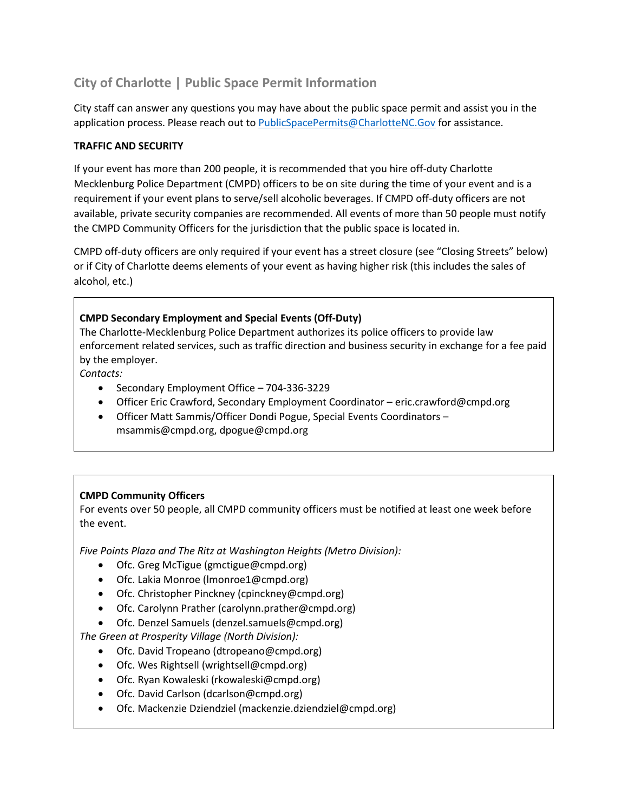# **City of Charlotte | Public Space Permit Information**

City staff can answer any questions you may have about the public space permit and assist you in the application process. Please reach out to [PublicSpacePermits@CharlotteNC.Gov](mailto:PublicSpacePermits@CharlotteNC.Gov) for assistance.

# **TRAFFIC AND SECURITY**

If your event has more than 200 people, it is recommended that you hire off-duty Charlotte Mecklenburg Police Department (CMPD) officers to be on site during the time of your event and is a requirement if your event plans to serve/sell alcoholic beverages. If CMPD off-duty officers are not available, private security companies are recommended. All events of more than 50 people must notify the CMPD Community Officers for the jurisdiction that the public space is located in.

CMPD off-duty officers are only required if your event has a street closure (see "Closing Streets" below) or if City of Charlotte deems elements of your event as having higher risk (this includes the sales of alcohol, etc.)

# **CMPD Secondary Employment and Special Events (Off-Duty)**

The Charlotte-Mecklenburg Police Department authorizes its police officers to provide law enforcement related services, such as traffic direction and business security in exchange for a fee paid by the employer.

*Contacts:*

- Secondary Employment Office 704-336-3229
- Officer Eric Crawford, Secondary Employment Coordinator eric.crawford@cmpd.org
- Officer Matt Sammis/Officer Dondi Pogue, Special Events Coordinators msammis@cmpd.org, dpogue@cmpd.org

## **CMPD Community Officers**

For events over 50 people, all CMPD community officers must be notified at least one week before the event.

*Five Points Plaza and The Ritz at Washington Heights (Metro Division):*

- Ofc. Greg McTigue (gmctigue@cmpd.org)
- Ofc. Lakia Monroe (lmonroe1@cmpd.org)
- Ofc. Christopher Pinckney (cpinckney@cmpd.org)
- Ofc. Carolynn Prather (carolynn.prather@cmpd.org)
- Ofc. Denzel Samuels (denzel.samuels@cmpd.org)

*The Green at Prosperity Village (North Division):*

- Ofc. David Tropeano (dtropeano@cmpd.org)
- Ofc. Wes Rightsell (wrightsell@cmpd.org)
- Ofc. Ryan Kowaleski (rkowaleski@cmpd.org)
- Ofc. David Carlson (dcarlson@cmpd.org)
- Ofc. Mackenzie Dziendziel (mackenzie.dziendziel@cmpd.org)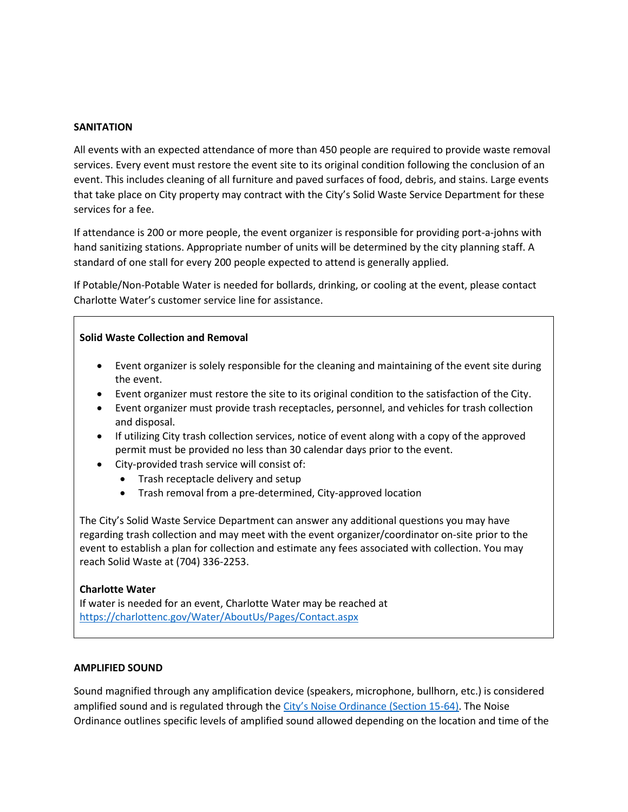#### **SANITATION**

All events with an expected attendance of more than 450 people are required to provide waste removal services. Every event must restore the event site to its original condition following the conclusion of an event. This includes cleaning of all furniture and paved surfaces of food, debris, and stains. Large events that take place on City property may contract with the City's Solid Waste Service Department for these services for a fee.

If attendance is 200 or more people, the event organizer is responsible for providing port-a-johns with hand sanitizing stations. Appropriate number of units will be determined by the city planning staff. A standard of one stall for every 200 people expected to attend is generally applied.

If Potable/Non-Potable Water is needed for bollards, drinking, or cooling at the event, please contact Charlotte Water's customer service line for assistance.

#### **Solid Waste Collection and Removal**

- Event organizer is solely responsible for the cleaning and maintaining of the event site during the event.
- Event organizer must restore the site to its original condition to the satisfaction of the City.
- Event organizer must provide trash receptacles, personnel, and vehicles for trash collection and disposal.
- If utilizing City trash collection services, notice of event along with a copy of the approved permit must be provided no less than 30 calendar days prior to the event.
- City-provided trash service will consist of:
	- Trash receptacle delivery and setup
	- Trash removal from a pre-determined, City-approved location

The City's Solid Waste Service Department can answer any additional questions you may have regarding trash collection and may meet with the event organizer/coordinator on-site prior to the event to establish a plan for collection and estimate any fees associated with collection. You may reach Solid Waste at (704) 336-2253.

#### **Charlotte Water**

If water is needed for an event, Charlotte Water may be reached at <https://charlottenc.gov/Water/AboutUs/Pages/Contact.aspx>

#### **AMPLIFIED SOUND**

Sound magnified through any amplification device (speakers, microphone, bullhorn, etc.) is considered amplified sound and is regulated through the [City's Noise Ordinance](https://charlottenc.gov/CMPD/Documents/Ordinances/Noise_Ordinance.pdf) (Section 15-64). The Noise Ordinance outlines specific levels of amplified sound allowed depending on the location and time of the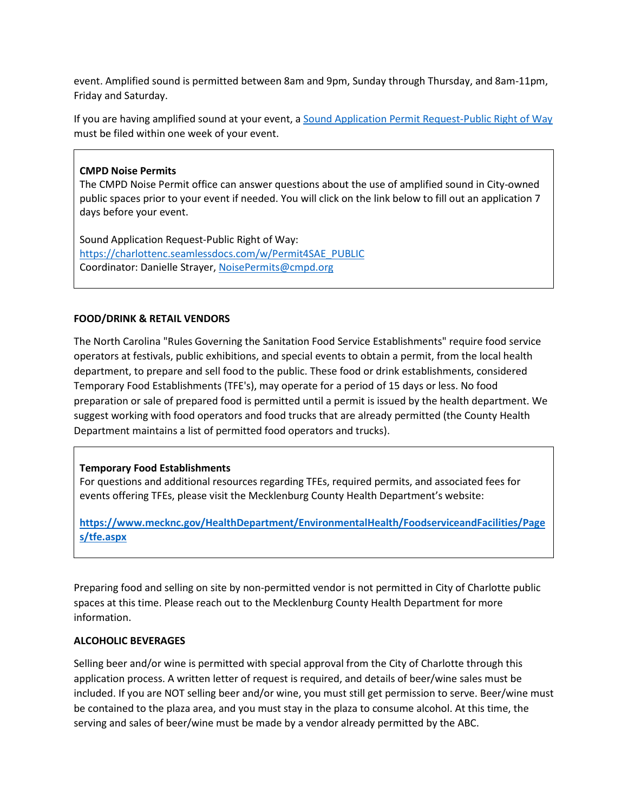event. Amplified sound is permitted between 8am and 9pm, Sunday through Thursday, and 8am-11pm, Friday and Saturday.

If you are having amplified sound at your event, a [Sound Application Permit Request-Public Right of Way](https://charlottenc.seamlessdocs.com/w/Permit4SAE_PUBLIC) must be filed within one week of your event.

## **CMPD Noise Permits**

The CMPD Noise Permit office can answer questions about the use of amplified sound in City-owned public spaces prior to your event if needed. You will click on the link below to fill out an application 7 days before your event.

Sound Application Request-Public Right of Way: [https://charlottenc.seamlessdocs.com/w/Permit4SAE\\_PUBLIC](https://charlottenc.seamlessdocs.com/w/Permit4SAE_PUBLIC) Coordinator: Danielle Strayer, [NoisePermits@cmpd.org](mailto:NoisePermits@cmpd.org)

## **FOOD/DRINK & RETAIL VENDORS**

The North Carolina "Rules Governing the Sanitation Food Service Establishments" require food service operators at festivals, public exhibitions, and special events to obtain a permit, from the local health department, to prepare and sell food to the public. These food or drink establishments, considered Temporary Food Establishments (TFE's), may operate for a period of 15 days or less. No food preparation or sale of prepared food is permitted until a permit is issued by the health department. We suggest working with food operators and food trucks that are already permitted (the County Health Department maintains a list of permitted food operators and trucks).

## **Temporary Food Establishments**

For questions and additional resources regarding TFEs, required permits, and associated fees for events offering TFEs, please visit the Mecklenburg County Health Department's website:

**[https://www.mecknc.gov/HealthDepartment/EnvironmentalHealth/FoodserviceandFacilities/Page](https://www.mecknc.gov/HealthDepartment/EnvironmentalHealth/FoodserviceandFacilities/Pages/tfe.aspx) [s/tfe.aspx](https://www.mecknc.gov/HealthDepartment/EnvironmentalHealth/FoodserviceandFacilities/Pages/tfe.aspx)**

Preparing food and selling on site by non-permitted vendor is not permitted in City of Charlotte public spaces at this time. Please reach out to the Mecklenburg County Health Department for more information.

#### **ALCOHOLIC BEVERAGES**

Selling beer and/or wine is permitted with special approval from the City of Charlotte through this application process. A written letter of request is required, and details of beer/wine sales must be included. If you are NOT selling beer and/or wine, you must still get permission to serve. Beer/wine must be contained to the plaza area, and you must stay in the plaza to consume alcohol. At this time, the serving and sales of beer/wine must be made by a vendor already permitted by the ABC.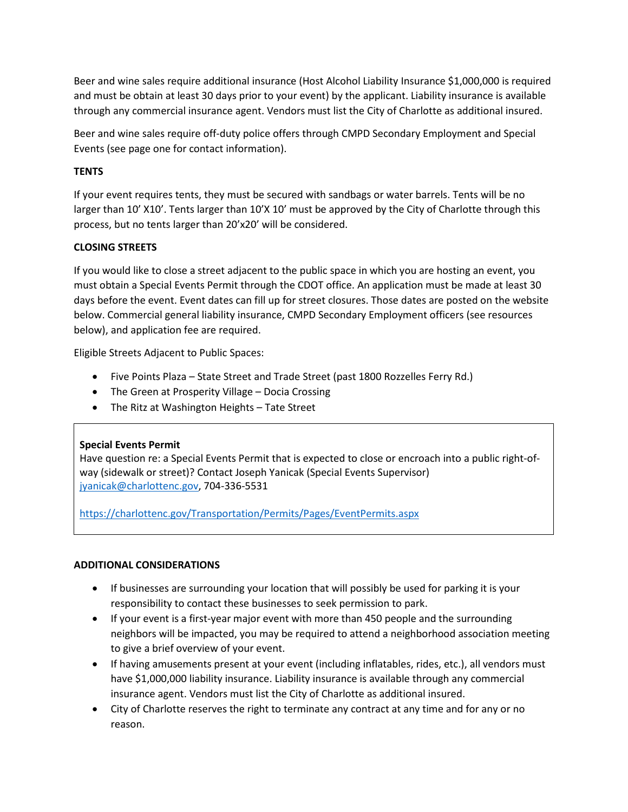Beer and wine sales require additional insurance (Host Alcohol Liability Insurance \$1,000,000 is required and must be obtain at least 30 days prior to your event) by the applicant. Liability insurance is available through any commercial insurance agent. Vendors must list the City of Charlotte as additional insured.

Beer and wine sales require off-duty police offers through CMPD Secondary Employment and Special Events (see page one for contact information).

# **TENTS**

If your event requires tents, they must be secured with sandbags or water barrels. Tents will be no larger than 10' X10'. Tents larger than 10'X 10' must be approved by the City of Charlotte through this process, but no tents larger than 20'x20' will be considered.

# **CLOSING STREETS**

If you would like to close a street adjacent to the public space in which you are hosting an event, you must obtain a Special Events Permit through the CDOT office. An application must be made at least 30 days before the event. Event dates can fill up for street closures. Those dates are posted on the website below. Commercial general liability insurance, CMPD Secondary Employment officers (see resources below), and application fee are required.

Eligible Streets Adjacent to Public Spaces:

- Five Points Plaza State Street and Trade Street (past 1800 Rozzelles Ferry Rd.)
- The Green at Prosperity Village Docia Crossing
- The Ritz at Washington Heights Tate Street

## **Special Events Permit**

Have question re: a Special Events Permit that is expected to close or encroach into a public right-ofway (sidewalk or street)? Contact Joseph Yanicak (Special Events Supervisor) [jyanicak@charlottenc.gov,](mailto:jyanicak@charlottenc.gov) 704-336-5531

<https://charlottenc.gov/Transportation/Permits/Pages/EventPermits.aspx>

## **ADDITIONAL CONSIDERATIONS**

- If businesses are surrounding your location that will possibly be used for parking it is your responsibility to contact these businesses to seek permission to park.
- If your event is a first-year major event with more than 450 people and the surrounding neighbors will be impacted, you may be required to attend a neighborhood association meeting to give a brief overview of your event.
- If having amusements present at your event (including inflatables, rides, etc.), all vendors must have \$1,000,000 liability insurance. Liability insurance is available through any commercial insurance agent. Vendors must list the City of Charlotte as additional insured.
- City of Charlotte reserves the right to terminate any contract at any time and for any or no reason.